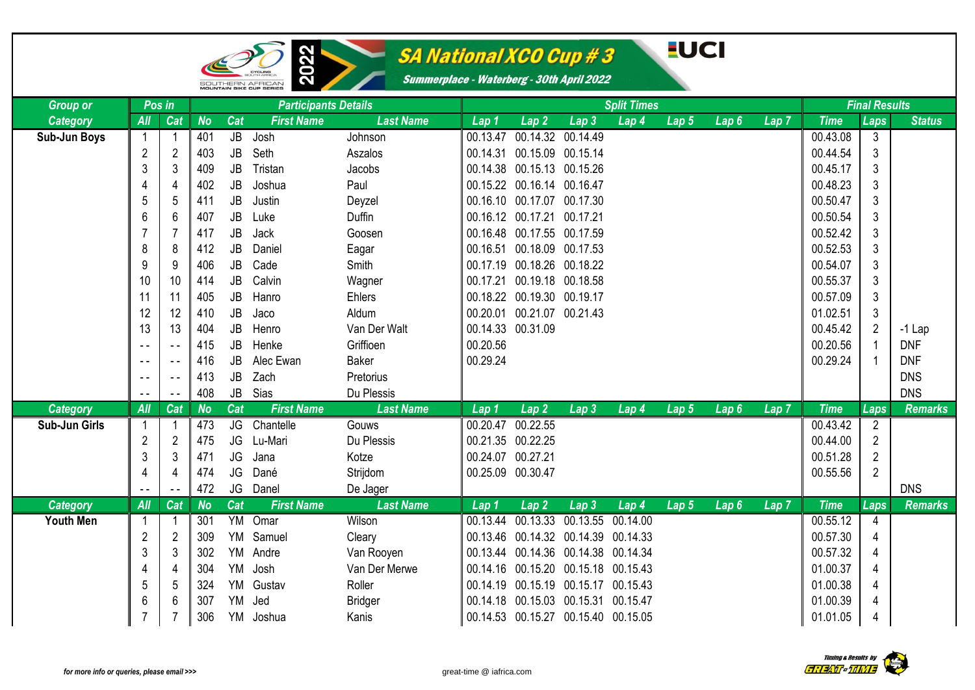

œ

# SA National XCO Cup # 3

#### **EUCI**

| <b>Group or</b>  | Pos in         |                |           |           | <b>Participants Details</b> |                  |                   | <b>Split Times</b>         |                                     | <b>Final Results</b> |                  |                  |                  |             |                |                |
|------------------|----------------|----------------|-----------|-----------|-----------------------------|------------------|-------------------|----------------------------|-------------------------------------|----------------------|------------------|------------------|------------------|-------------|----------------|----------------|
| <b>Category</b>  | All            | Cat            | <b>No</b> | Cat       | <b>First Name</b>           | <b>Last Name</b> | Lap <sub>1</sub>  | Lap2                       | $\overline{L}$ ap 3                 | Lap 4                | Lap 5            | Lap6             | Lap <sub>7</sub> | <b>Time</b> | Laps           | <b>Status</b>  |
| Sub-Jun Boys     |                | $\mathbf 1$    | 401       | JB        | Josh                        | Johnson          |                   | 00.13.47 00.14.32 00.14.49 |                                     |                      |                  |                  |                  | 00.43.08    | 3              |                |
|                  | $\overline{c}$ | $\overline{c}$ | 403       | JB        | Seth                        | Aszalos          |                   | 00.14.31 00.15.09 00.15.14 |                                     |                      |                  |                  |                  | 00.44.54    | $\mathfrak{S}$ |                |
|                  | $\mathfrak{Z}$ | 3              | 409       | JB        | Tristan                     | Jacobs           |                   | 00.14.38 00.15.13 00.15.26 |                                     |                      |                  |                  |                  | 00.45.17    | 3              |                |
|                  | 4              | $\overline{4}$ | 402       | <b>JB</b> | Joshua                      | Paul             |                   | 00.15.22 00.16.14 00.16.47 |                                     |                      |                  |                  |                  | 00.48.23    | 3              |                |
|                  | 5              | 5              | 411       | JB        | Justin                      | Deyzel           |                   | 00.16.10 00.17.07 00.17.30 |                                     |                      |                  |                  |                  | 00.50.47    | 3              |                |
|                  | 6              | 6              | 407       | JB        | Luke                        | Duffin           |                   | 00.16.12 00.17.21 00.17.21 |                                     |                      |                  |                  |                  | 00.50.54    | 3              |                |
|                  | 7              | $\overline{7}$ | 417       | JB        | Jack                        | Goosen           |                   | 00.16.48 00.17.55 00.17.59 |                                     |                      |                  |                  |                  | 00.52.42    | 3              |                |
|                  | 8              | 8              | 412       | <b>JB</b> | Daniel                      | Eagar            |                   | 00.16.51 00.18.09 00.17.53 |                                     |                      |                  |                  |                  | 00.52.53    | 3              |                |
|                  | 9              | 9              | 406       | JB        | Cade                        | Smith            |                   | 00.17.19 00.18.26 00.18.22 |                                     |                      |                  |                  |                  | 00.54.07    | 3              |                |
|                  | 10             | 10             | 414       | <b>JB</b> | Calvin                      | Wagner           |                   | 00.17.21 00.19.18 00.18.58 |                                     |                      |                  |                  |                  | 00.55.37    | 3              |                |
|                  | 11             | 11             | 405       | JB        | Hanro                       | <b>Ehlers</b>    |                   | 00.18.22 00.19.30 00.19.17 |                                     |                      |                  |                  |                  | 00.57.09    | 3              |                |
|                  | 12             | 12             | 410       | <b>JB</b> | Jaco                        | Aldum            |                   | 00.20.01 00.21.07 00.21.43 |                                     |                      |                  |                  |                  | 01.02.51    | 3              |                |
|                  | 13             | 13             | 404       | JB        | Henro                       | Van Der Walt     | 00.14.33 00.31.09 |                            |                                     |                      |                  |                  |                  | 00.45.42    | $\overline{2}$ | $-1$ Lap       |
|                  |                | $\sim$ $\sim$  | 415       | JB        | Henke                       | Griffioen        | 00.20.56          |                            |                                     |                      |                  |                  |                  | 00.20.56    |                | <b>DNF</b>     |
|                  | $ -$           | $\sim$ $\sim$  | 416       | JB        | Alec Ewan                   | <b>Baker</b>     | 00.29.24          |                            |                                     |                      |                  |                  |                  | 00.29.24    |                | <b>DNF</b>     |
|                  | $ -$           | $\sim$ $\sim$  | 413       | JB        | Zach                        | Pretorius        |                   |                            |                                     |                      |                  |                  |                  |             |                | <b>DNS</b>     |
|                  |                | $\sim$ $\sim$  | 408       | JB        | Sias                        | Du Plessis       |                   |                            |                                     |                      |                  |                  |                  |             |                | <b>DNS</b>     |
| Category         | All            | Cat            | <b>No</b> | Cat       | <b>First Name</b>           | <b>Last Name</b> | Lap 1             | Lap2                       | Lap <sub>3</sub>                    | Lap 4                | Lap 5            | Lap6             | Lap <sub>7</sub> | <b>Time</b> | Laps           | <b>Remarks</b> |
| Sub-Jun Girls    |                |                | 473       | JG        | Chantelle                   | Gouws            | 00.20.47          | 00.22.55                   |                                     |                      |                  |                  |                  | 00.43.42    | $\overline{2}$ |                |
|                  | $\overline{2}$ | $\overline{2}$ | 475       | JG        | Lu-Mari                     | Du Plessis       | 00.21.35 00.22.25 |                            |                                     |                      |                  |                  |                  | 00.44.00    | $\overline{2}$ |                |
|                  | 3              | 3              | 471       | JG        | Jana                        | Kotze            | 00.24.07 00.27.21 |                            |                                     |                      |                  |                  |                  | 00.51.28    | $\overline{2}$ |                |
|                  | 4              | $\overline{4}$ | 474       | JG        | Dané                        | Strijdom         | 00.25.09 00.30.47 |                            |                                     |                      |                  |                  |                  | 00.55.56    | $\overline{2}$ |                |
|                  |                |                | 472       | JG        | Danel                       | De Jager         |                   |                            |                                     |                      |                  |                  |                  |             |                | <b>DNS</b>     |
| <b>Category</b>  | All            | Cat            | <b>No</b> | Cat       | <b>First Name</b>           | <b>Last Name</b> | Lap 1             | Lap <sub>2</sub>           | Lap <sub>3</sub>                    | Lap 4                | Lap <sub>5</sub> | Lap <sub>6</sub> | Lap <sub>7</sub> | <b>Time</b> | Laps           | <b>Remarks</b> |
| <b>Youth Men</b> |                |                | 301       | YM        | Omar                        | Wilson           | 00.13.44          |                            | 00.13.33 00.13.55 00.14.00          |                      |                  |                  |                  | 00.55.12    | $\overline{4}$ |                |
|                  | $\overline{2}$ | $\overline{2}$ | 309       | YM        | Samuel                      | Cleary           | 00.13.46          |                            | 00.14.32 00.14.39 00.14.33          |                      |                  |                  |                  | 00.57.30    | $\overline{4}$ |                |
|                  | $\sqrt{3}$     | $\mathbf{3}$   | 302       | YM        | Andre                       | Van Rooyen       | 00.13.44          |                            | 00.14.36 00.14.38 00.14.34          |                      |                  |                  |                  | 00.57.32    | 4              |                |
|                  | 4              | $\overline{4}$ | 304       | <b>YM</b> | Josh                        | Van Der Merwe    | 00.14.16          |                            | 00.15.20 00.15.18 00.15.43          |                      |                  |                  |                  | 01.00.37    | 4              |                |
|                  | 5              | 5              | 324       | YM        | Gustav                      | Roller           | 00.14.19          |                            | 00.15.19 00.15.17 00.15.43          |                      |                  |                  |                  | 01.00.38    | 4              |                |
|                  | 6              | 6              | 307       | YM        | Jed                         | <b>Bridger</b>   | 00.14.18          |                            | 00.15.03 00.15.31 00.15.47          |                      |                  |                  |                  | 01.00.39    | 4              |                |
|                  | $\overline{7}$ | 7              | 306       | YM        | Joshua                      | Kanis            |                   |                            | 00.14.53 00.15.27 00.15.40 00.15.05 |                      |                  |                  |                  | 01.01.05    | 4              |                |

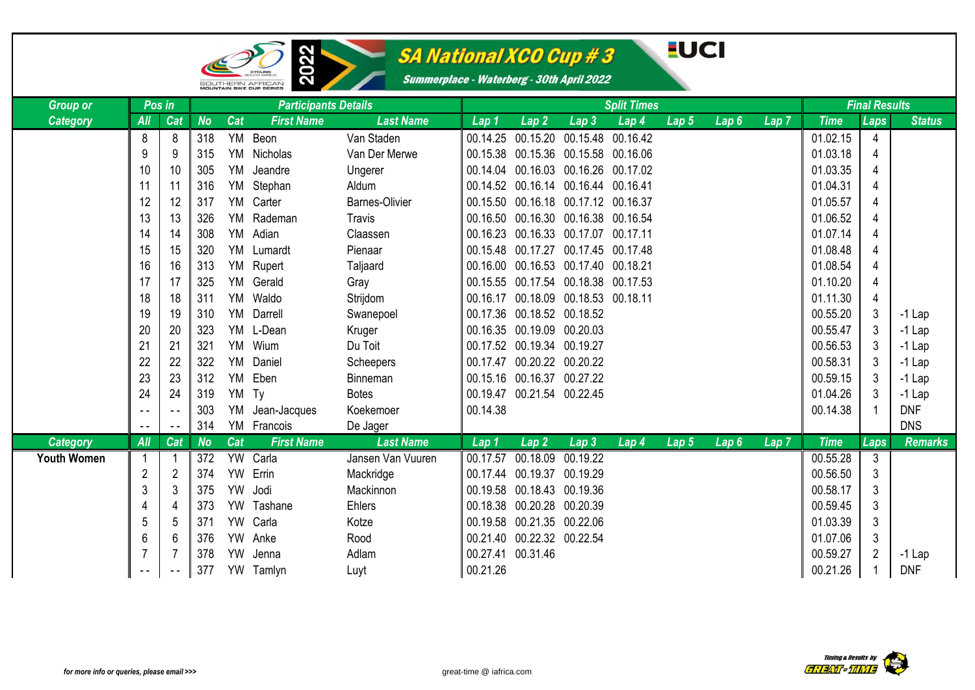

œ

### SA National XCO Cup # 3

### **EUCI**

| <b>Group or</b>    | Pos in        |                |           |           | <b>Participants Details</b> |                       |                  |                                     |                   | <b>Split Times</b> |                  |      |                  |             | <b>Final Results</b> |                |
|--------------------|---------------|----------------|-----------|-----------|-----------------------------|-----------------------|------------------|-------------------------------------|-------------------|--------------------|------------------|------|------------------|-------------|----------------------|----------------|
| <b>Category</b>    | All           | Cat            | <b>No</b> | Cat       | <b>First Name</b>           | <b>Last Name</b>      | Lap <sub>1</sub> | Lap <sub>2</sub>                    | Lap <sub>3</sub>  | Lap <sub>4</sub>   | Lap <sub>5</sub> | Lap6 | Lap <sub>7</sub> | <b>Time</b> | Laps                 | <b>Status</b>  |
|                    | 8             | 8              | 318       |           | YM Beon                     | Van Staden            |                  | 00.14.25 00.15.20 00.15.48 00.16.42 |                   |                    |                  |      |                  | 01.02.15    | 4                    |                |
|                    | 9             | 9              | 315       |           | YM Nicholas                 | Van Der Merwe         |                  | 00.15.38 00.15.36 00.15.58 00.16.06 |                   |                    |                  |      |                  | 01.03.18    | 4                    |                |
|                    | 10            | 10             | 305       | YM        | Jeandre                     | Ungerer               |                  | 00.14.04 00.16.03 00.16.26          |                   | 00.17.02           |                  |      |                  | 01.03.35    | 4                    |                |
|                    | 11            | 11             | 316       | YM        | Stephan                     | Aldum                 |                  | 00.14.52 00.16.14 00.16.44 00.16.41 |                   |                    |                  |      |                  | 01.04.31    | 4                    |                |
|                    | 12            | 12             | 317       | YM        | Carter                      | <b>Barnes-Olivier</b> |                  | 00.15.50 00.16.18 00.17.12 00.16.37 |                   |                    |                  |      |                  | 01.05.57    | 4                    |                |
|                    | 13            | 13             | 326       |           | YM Rademan                  | Travis                |                  | 00.16.50 00.16.30 00.16.38 00.16.54 |                   |                    |                  |      |                  | 01.06.52    | 4                    |                |
|                    | 14            | 14             | 308       | YM        | Adian                       | Claassen              |                  | 00.16.23 00.16.33 00.17.07          |                   | 00.17.11           |                  |      |                  | 01.07.14    | 4                    |                |
|                    | 15            | 15             | 320       |           | YM Lumardt                  | Pienaar               |                  | 00.15.48 00.17.27                   | 00.17.45 00.17.48 |                    |                  |      |                  | 01.08.48    | 4                    |                |
|                    | 16            | 16             | 313       | YM        | Rupert                      | Taljaard              |                  | 00.16.00 00.16.53 00.17.40          |                   | 00.18.21           |                  |      |                  | 01.08.54    | 4                    |                |
|                    | 17            | 17             | 325       |           | YM Gerald                   | Gray                  |                  | 00.15.55 00.17.54 00.18.38 00.17.53 |                   |                    |                  |      |                  | 01.10.20    | 4                    |                |
|                    | 18            | 18             | 311       | YM        | Waldo                       | Strijdom              |                  | 00.16.17 00.18.09 00.18.53 00.18.11 |                   |                    |                  |      |                  | 01.11.30    | 4                    |                |
|                    | 19            | 19             | 310       |           | YM Darrell                  | Swanepoel             |                  | 00.17.36 00.18.52 00.18.52          |                   |                    |                  |      |                  | 00.55.20    | 3                    | $-1$ Lap       |
|                    | 20            | 20             | 323       |           | YM L-Dean                   | Kruger                |                  | 00.16.35 00.19.09 00.20.03          |                   |                    |                  |      |                  | 00.55.47    | 3                    | $-1$ Lap       |
|                    | 21            | 21             | 321       |           | YM Wium                     | Du Toit               |                  | 00.17.52 00.19.34 00.19.27          |                   |                    |                  |      |                  | 00.56.53    | 3                    | $-1$ Lap       |
|                    | 22            | 22             | 322       | YM        | Daniel                      | Scheepers             |                  | 00.17.47 00.20.22 00.20.22          |                   |                    |                  |      |                  | 00.58.31    | 3                    | $-1$ Lap       |
|                    | 23            | 23             | 312       | YM        | Eben                        | Binneman              |                  | 00.15.16 00.16.37 00.27.22          |                   |                    |                  |      |                  | 00.59.15    | 3                    | $-1$ Lap       |
|                    | 24            | 24             | 319       | YM Ty     |                             | <b>Botes</b>          |                  | 00.19.47 00.21.54 00.22.45          |                   |                    |                  |      |                  | 01.04.26    | 3                    | $-1$ Lap       |
|                    | $ -$          | $\sim$ $\sim$  | 303       | YM        | Jean-Jacques                | Koekemoer             | 00.14.38         |                                     |                   |                    |                  |      |                  | 00.14.38    |                      | <b>DNF</b>     |
|                    | $\frac{1}{2}$ | $\sim$ $\sim$  | 314       |           | YM Francois                 | De Jager              |                  |                                     |                   |                    |                  |      |                  |             |                      | <b>DNS</b>     |
| <b>Category</b>    | All           | Cat            | <b>No</b> | Cat       | <b>First Name</b>           | <b>Last Name</b>      | Lap 1            | Lap <sub>2</sub>                    | Lap <sub>3</sub>  | Lap 4              | Lap <sub>5</sub> | Lap6 | $Lap$ $7$        | <b>Time</b> | Laps                 | <b>Remarks</b> |
| <b>Youth Women</b> |               |                | 372       |           | YW Carla                    | Jansen Van Vuuren     | 00.17.57         | 00.18.09                            | 00.19.22          |                    |                  |      |                  | 00.55.28    | 3                    |                |
|                    | 2             | $\overline{2}$ | 374       | <b>YW</b> | Errin                       | Mackridge             |                  | 00.17.44 00.19.37                   | 00.19.29          |                    |                  |      |                  | 00.56.50    | 3                    |                |
|                    | 3             | 3              | 375       | <b>YW</b> | Jodi                        | Mackinnon             |                  | 00.19.58 00.18.43 00.19.36          |                   |                    |                  |      |                  | 00.58.17    | 3                    |                |
|                    | 4             | $\overline{4}$ | 373       | <b>YW</b> | Tashane                     | Ehlers                |                  | 00.18.38 00.20.28 00.20.39          |                   |                    |                  |      |                  | 00.59.45    | 3                    |                |
|                    | 5             | 5              | 371       |           | YW Carla                    | Kotze                 |                  | 00.19.58 00.21.35 00.22.06          |                   |                    |                  |      |                  | 01.03.39    | 3                    |                |
|                    | 6             | 6              | 376       | <b>YW</b> | Anke                        | Rood                  |                  | 00.21.40 00.22.32 00.22.54          |                   |                    |                  |      |                  | 01.07.06    | 3                    |                |
|                    | 7             |                | 378       | <b>YW</b> | Jenna                       | Adlam                 |                  | 00.27.41 00.31.46                   |                   |                    |                  |      |                  | 00.59.27    | 2                    | $-1$ Lap       |
|                    |               |                | 377       |           | YW Tamlyn                   | Luyt                  | 00.21.26         |                                     |                   |                    |                  |      |                  | 00.21.26    |                      | <b>DNF</b>     |

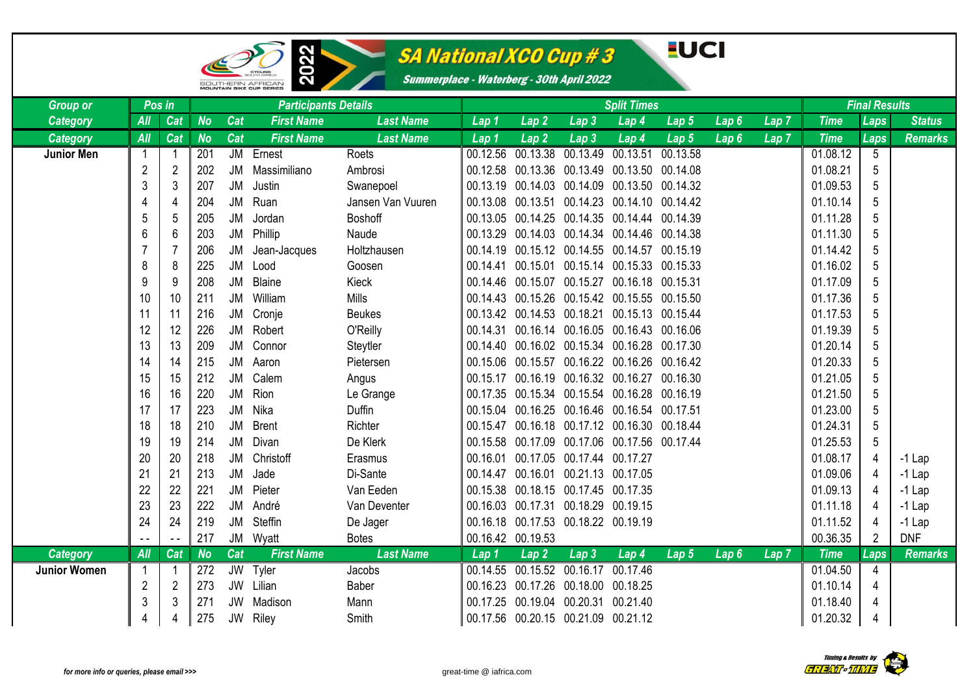

# SA National XCO Cup # 3

#### **EUCI**

| <b>Group or</b>     | Pos in         |               |           |           | <b>Participants Details</b> |                   |                   |                                     | <b>Split Times</b>         | <b>Final Results</b>                             |                  |                  |                  |             |                 |                |
|---------------------|----------------|---------------|-----------|-----------|-----------------------------|-------------------|-------------------|-------------------------------------|----------------------------|--------------------------------------------------|------------------|------------------|------------------|-------------|-----------------|----------------|
| Category            | All            | Cat           | <b>No</b> | Cat       | <b>First Name</b>           | <b>Last Name</b>  | Lap 1             | Lap2                                | Lap <sub>3</sub>           | Lap 4                                            | Lap <sub>5</sub> | Lap6             | Lap <sub>7</sub> | <b>Time</b> | <b>Laps</b>     | <b>Status</b>  |
| <b>Category</b>     | All            | Cat           | <b>No</b> | Cat       | <b>First Name</b>           | <b>Last Name</b>  | Lap 1             | Lap <sub>2</sub>                    | Lap <sub>3</sub>           | Lap 4                                            | Lap 5            | Lap6             | Lap <sub>7</sub> | <b>Time</b> | Laps            | <b>Remarks</b> |
| <b>Junior Men</b>   | $\mathbf{1}$   |               | 201       |           | JM Ernest                   | Roets             | 00.12.56          | 00.13.38                            |                            | 00.13.49 00.13.51 00.13.58                       |                  |                  |                  | 01.08.12    | $5\phantom{.0}$ |                |
|                     | $\overline{2}$ | 2             | 202       | <b>JM</b> | Massimiliano                | Ambrosi           | 00.12.58          |                                     |                            | 00.13.36 00.13.49 00.13.50 00.14.08              |                  |                  |                  | 01.08.21    | 5               |                |
|                     | 3              | 3             | 207       | <b>JM</b> | Justin                      | Swanepoel         |                   |                                     |                            | 00.13.19 00.14.03 00.14.09 00.13.50 00.14.32     |                  |                  |                  | 01.09.53    | 5               |                |
|                     | 4              | 4             | 204       | <b>JM</b> | Ruan                        | Jansen Van Vuuren |                   |                                     |                            | 00.13.08  00.13.51  00.14.23  00.14.10  00.14.42 |                  |                  |                  | 01.10.14    | 5               |                |
|                     | 5              | 5             | 205       | <b>JM</b> | Jordan                      | Boshoff           |                   |                                     |                            | 00.13.05  00.14.25  00.14.35  00.14.44  00.14.39 |                  |                  |                  | 01.11.28    | 5               |                |
|                     | 6              | 6             | 203       | <b>JM</b> | Phillip                     | Naude             | 00.13.29          |                                     |                            | 00.14.03 00.14.34 00.14.46 00.14.38              |                  |                  |                  | 01.11.30    | 5               |                |
|                     | 7              |               | 206       | JM        | Jean-Jacques                | Holtzhausen       | 00.14.19          |                                     |                            | 00.15.12 00.14.55 00.14.57 00.15.19              |                  |                  |                  | 01.14.42    | 5               |                |
|                     | 8              | 8             | 225       | <b>JM</b> | Lood                        | Goosen            | 00.14.41          |                                     |                            | 00.15.01 00.15.14 00.15.33 00.15.33              |                  |                  |                  | 01.16.02    | 5               |                |
|                     | 9              | 9             | 208       | <b>JM</b> | Blaine                      | Kieck             |                   |                                     |                            | 00.14.46 00.15.07 00.15.27 00.16.18 00.15.31     |                  |                  |                  | 01.17.09    | 5               |                |
|                     | 10             | 10            | 211       | <b>JM</b> | William                     | <b>Mills</b>      |                   |                                     |                            | 00.14.43 00.15.26 00.15.42 00.15.55 00.15.50     |                  |                  |                  | 01.17.36    | 5               |                |
|                     | 11             | 11            | 216       | <b>JM</b> | Cronje                      | <b>Beukes</b>     |                   | 00.13.42 00.14.53 00.18.21          |                            | 00.15.13 00.15.44                                |                  |                  |                  | 01.17.53    | 5               |                |
|                     | 12             | 12            | 226       | JM        | Robert                      | O'Reilly          | 00.14.31          |                                     |                            | 00.16.14 00.16.05 00.16.43 00.16.06              |                  |                  |                  | 01.19.39    | 5               |                |
|                     | 13             | 13            | 209       | JM        | Connor                      | Steytler          |                   |                                     |                            | 00.14.40  00.16.02  00.15.34  00.16.28  00.17.30 |                  |                  |                  | 01.20.14    | 5               |                |
|                     | 14             | 14            | 215       | <b>JM</b> | Aaron                       | Pietersen         | 00.15.06          |                                     |                            | 00.15.57 00.16.22 00.16.26 00.16.42              |                  |                  |                  | 01.20.33    | 5               |                |
|                     | 15             | 15            | 212       | <b>JM</b> | Calem                       | Angus             | 00.15.17          |                                     |                            | 00.16.19 00.16.32 00.16.27 00.16.30              |                  |                  |                  | 01.21.05    | 5               |                |
|                     | 16             | 16            | 220       | <b>JM</b> | Rion                        | Le Grange         |                   |                                     |                            | 00.17.35 00.15.34 00.15.54 00.16.28 00.16.19     |                  |                  |                  | 01.21.50    | 5               |                |
|                     | 17             | 17            | 223       | <b>JM</b> | Nika                        | Duffin            |                   |                                     |                            | 00.15.04 00.16.25 00.16.46 00.16.54 00.17.51     |                  |                  |                  | 01.23.00    | 5               |                |
|                     | 18             | 18            | 210       | <b>JM</b> | <b>Brent</b>                | Richter           |                   |                                     |                            | 00.15.47  00.16.18  00.17.12  00.16.30  00.18.44 |                  |                  |                  | 01.24.31    | 5               |                |
|                     | 19             | 19            | 214       | <b>JM</b> | Divan                       | De Klerk          | 00.15.58          |                                     |                            | 00.17.09 00.17.06 00.17.56 00.17.44              |                  |                  |                  | 01.25.53    | 5               |                |
|                     | 20             | 20            | 218       | JM        | Christoff                   | Erasmus           | 00.16.01          |                                     | 00.17.05 00.17.44 00.17.27 |                                                  |                  |                  |                  | 01.08.17    | $\overline{4}$  | $-1$ Lap       |
|                     | 21             | 21            | 213       | <b>JM</b> | Jade                        | Di-Sante          | 00.14.47          | 00.16.01 00.21.13 00.17.05          |                            |                                                  |                  |                  |                  | 01.09.06    | $\overline{4}$  | $-1$ Lap       |
|                     | 22             | 22            | 221       | <b>JM</b> | Pieter                      | Van Eeden         |                   | 00.15.38 00.18.15 00.17.45 00.17.35 |                            |                                                  |                  |                  |                  | 01.09.13    | $\overline{4}$  | $-1$ Lap       |
|                     | 23             | 23            | 222       | <b>JM</b> | André                       | Van Deventer      |                   | 00.16.03 00.17.31 00.18.29 00.19.15 |                            |                                                  |                  |                  |                  | 01.11.18    | $\overline{4}$  | $-1$ Lap       |
|                     | 24             | 24            | 219       | JM        | Steffin                     | De Jager          |                   | 00.16.18 00.17.53 00.18.22 00.19.19 |                            |                                                  |                  |                  |                  | 01.11.52    | $\overline{4}$  | $-1$ Lap       |
|                     |                | $\sim$ $\sim$ | 217       | <b>JM</b> | Wyatt                       | <b>Botes</b>      | 00.16.42 00.19.53 |                                     |                            |                                                  |                  |                  |                  | 00.36.35    | $\overline{2}$  | <b>DNF</b>     |
| <b>Category</b>     | All            | Cat           | <b>No</b> | Cat       | <b>First Name</b>           | <b>Last Name</b>  | Lap <sub>1</sub>  | Lap 2                               | Lap <sub>3</sub>           | Lap <sub>4</sub>                                 | Lap 5            | Lap <sub>6</sub> | Lap <sub>7</sub> | <b>Time</b> | Laps            | <b>Remarks</b> |
| <b>Junior Women</b> |                |               | 272       | <b>JW</b> | Tyler                       | Jacobs            | 00.14.55          | 00.15.52                            | 00.16.17                   | 00.17.46                                         |                  |                  |                  | 01.04.50    | $\overline{4}$  |                |
|                     | $\sqrt{2}$     |               | 273       | <b>JW</b> | Lilian                      | Baber             | 00.16.23          | 00.17.26 00.18.00 00.18.25          |                            |                                                  |                  |                  |                  | 01.10.14    | $\overline{4}$  |                |
|                     | 3              |               | 271       | <b>JW</b> | Madison                     | Mann              | 00.17.25          | 00.19.04 00.20.31 00.21.40          |                            |                                                  |                  |                  |                  | 01.18.40    | 4               |                |
|                     | 4              |               | 275       | <b>JW</b> | Riley                       | Smith             |                   | 00.17.56 00.20.15 00.21.09 00.21.12 |                            |                                                  |                  |                  |                  | 01.20.32    | 4               |                |

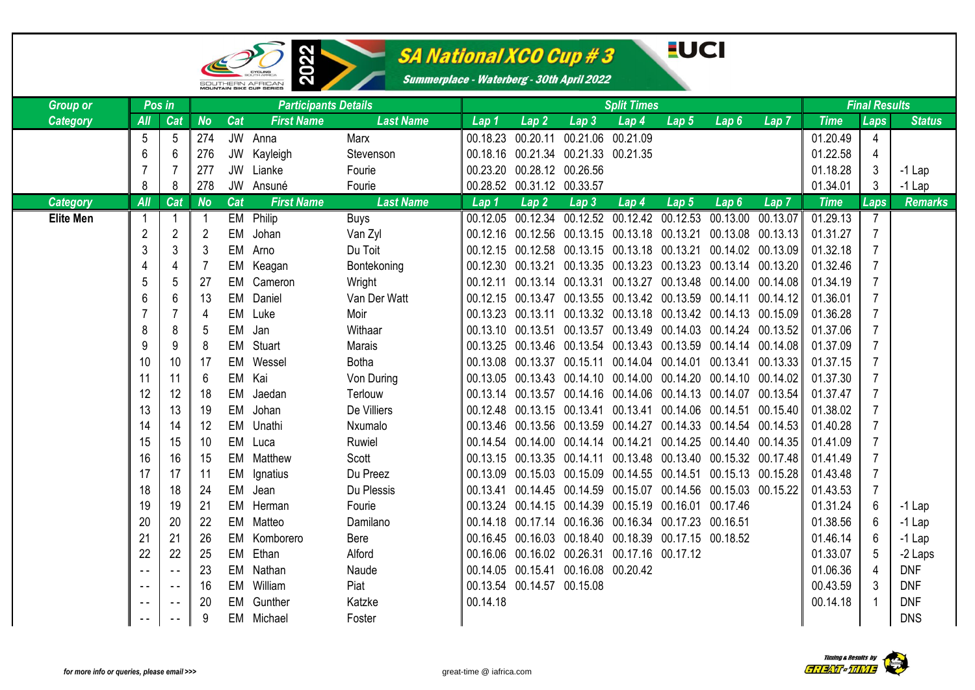

œ

### SA National XCO Cup # 3

#### **EUCI**

| <b>Group or</b>  | Pos in         |                |                |           | <b>Participants Details</b> |                  | <b>Split Times</b> |                                                  |                                                            |       |                  |                                                                      |                  | <b>Final Results</b> |                |                |
|------------------|----------------|----------------|----------------|-----------|-----------------------------|------------------|--------------------|--------------------------------------------------|------------------------------------------------------------|-------|------------------|----------------------------------------------------------------------|------------------|----------------------|----------------|----------------|
| <b>Category</b>  | All            | Cat            | <b>No</b>      | Cat       | <b>First Name</b>           | <b>Last Name</b> | Lap 1              | $\overline{\textsf{Lap2}}$                       | Lap3                                                       | Lap 4 | Lap <sub>5</sub> | Lap <sub>6</sub>                                                     | Lap <sub>7</sub> | <b>Time</b>          | Laps           | <b>Status</b>  |
|                  | 5              | 5              | 274            | JW        | Anna                        | Marx             | 00.18.23           | 00.20.11                                         | 00.21.06 00.21.09                                          |       |                  |                                                                      |                  | 01.20.49             | $\overline{4}$ |                |
|                  | 6              | 6              | 276            | JW        | Kayleigh                    | Stevenson        |                    |                                                  | 00.18.16 00.21.34 00.21.33 00.21.35                        |       |                  |                                                                      |                  | 01.22.58             | $\overline{4}$ |                |
|                  |                |                | 277            | <b>JW</b> | Lianke                      | Fourie           |                    | 00.23.20 00.28.12 00.26.56                       |                                                            |       |                  |                                                                      |                  | 01.18.28             | $\mathbf{3}$   | $-1$ Lap       |
|                  | 8              | 8              | 278            | JW        | Ansuné                      | Fourie           |                    | 00.28.52 00.31.12 00.33.57                       |                                                            |       |                  |                                                                      |                  | 01.34.01             | 3              | $-1$ Lap       |
| <b>Category</b>  | AII            | Cat            | <b>No</b>      | Cat       | <b>First Name</b>           | <b>Last Name</b> | Lap 1              | $\overline{\mathsf{L}}$ ap 2 $^\mathsf{\dagger}$ | Lap <sub>3</sub>                                           | Lap 4 | Lap <sub>5</sub> | Lap <sub>6</sub>                                                     | Lap 7            | <b>Time</b>          | Laps           | <b>Remarks</b> |
| <b>Elite Men</b> |                |                |                |           | EM Philip                   | <b>Buys</b>      |                    |                                                  |                                                            |       |                  | 00.12.05 00.12.34 00.12.52 00.12.42 00.12.53 00.13.00 00.13.07       |                  | 01.29.13             | $\overline{7}$ |                |
|                  | $\overline{2}$ | $\overline{2}$ | $\overline{2}$ | <b>EM</b> | Johan                       | Van Zyl          |                    |                                                  |                                                            |       |                  | 00.12.16 00.12.56 00.13.15 00.13.18 00.13.21 00.13.08 00.13.13       |                  | 01.31.27             | $\overline{7}$ |                |
|                  | 3              | 3              | 3              | EM        | Arno                        | Du Toit          |                    |                                                  |                                                            |       |                  | 00.12.15 00.12.58 00.13.15 00.13.18 00.13.21 00.14.02 00.13.09       |                  | 01.32.18             | $\overline{7}$ |                |
|                  | 4              | 4              |                | EM        | Keagan                      | Bontekoning      | 00.12.30 00.13.21  |                                                  |                                                            |       |                  | 00.13.35 00.13.23 00.13.23 00.13.14 00.13.20                         |                  | 01.32.46             | $\overline{7}$ |                |
|                  | 5              | 5              | 27             | EM        | Cameron                     | Wright           |                    |                                                  |                                                            |       |                  | 00.12.11 00.13.14 00.13.31 00.13.27 00.13.48 00.14.00 00.14.08       |                  | 01.34.19             | 7              |                |
|                  | 6              | 6              | 13             | <b>EM</b> | Daniel                      | Van Der Watt     |                    |                                                  |                                                            |       |                  | 00.12.15 00.13.47 00.13.55 00.13.42 00.13.59 00.14.11 00.14.12       |                  | 01.36.01             | $\overline{7}$ |                |
|                  |                | 7              | 4              | EM        | Luke                        | Moir             |                    |                                                  |                                                            |       |                  | 00.13.23 00.13.11 00.13.32 00.13.18 00.13.42 00.14.13 00.15.09       |                  | 01.36.28             | $\overline{7}$ |                |
|                  | 8              | 8              | 5              | EM        | Jan                         | Withaar          | 00.13.10 00.13.51  |                                                  |                                                            |       |                  | 00.13.57 00.13.49 00.14.03 00.14.24 00.13.52                         |                  | 01.37.06             | $\overline{7}$ |                |
|                  | 9              | 9              | 8              | EM        | Stuart                      | Marais           |                    |                                                  |                                                            |       |                  | 00.13.25  00.13.46  00.13.54  00.13.43  00.13.59  00.14.14  00.14.08 |                  | 01.37.09             | $\overline{7}$ |                |
|                  | 10             | 10             | 17             | <b>EM</b> | Wessel                      | <b>Botha</b>     |                    |                                                  |                                                            |       |                  | 00.13.08 00.13.37 00.15.11 00.14.04 00.14.01 00.13.41 00.13.33       |                  | 01.37.15             | $\overline{7}$ |                |
|                  | 11             | -11            | 6              | EM        | Kai                         | Von During       |                    |                                                  |                                                            |       |                  | 00.13.05  00.13.43  00.14.10  00.14.00  00.14.20  00.14.10  00.14.02 |                  | 01.37.30             | $\overline{7}$ |                |
|                  | 12             | 12             | 18             | EM        | Jaedan                      | Terlouw          |                    |                                                  |                                                            |       |                  | 00.13.14  00.13.57  00.14.16  00.14.06  00.14.13  00.14.07  00.13.54 |                  | 01.37.47             | $\overline{7}$ |                |
|                  | 13             | 13             | 19             | EM        | Johan                       | De Villiers      |                    |                                                  |                                                            |       |                  | 00.12.48 00.13.15 00.13.41 00.13.41 00.14.06 00.14.51 00.15.40       |                  | 01.38.02             | $\overline{7}$ |                |
|                  | 14             | 14             | 12             | <b>EM</b> | Unathi                      | Nxumalo          |                    |                                                  | 00.13.46 00.13.56 00.13.59 00.14.27                        |       |                  | $00.14.33$ 00.14.54 00.14.53                                         |                  | 01.40.28             | $\overline{7}$ |                |
|                  | 15             | 15             | 10             | EM        | Luca                        | Ruwiel           |                    |                                                  | 00.14.54 00.14.00 00.14.14 00.14.21                        |       |                  | 00.14.25 00.14.40 00.14.35                                           |                  | 01.41.09             | $\overline{7}$ |                |
|                  | 16             | 16             | 15             | <b>EM</b> | Matthew                     | Scott            |                    |                                                  |                                                            |       |                  | 00.13.15  00.13.35  00.14.11  00.13.48  00.13.40  00.15.32  00.17.48 |                  | 01.41.49             | $\overline{7}$ |                |
|                  | 17             | -17            | -11            | EМ        | Ignatius                    | Du Preez         |                    |                                                  |                                                            |       |                  | 00.13.09  00.15.03  00.15.09  00.14.55  00.14.51  00.15.13  00.15.28 |                  | 01.43.48             | $\overline{7}$ |                |
|                  | 18             | 18             | 24             | EM        | Jean                        | Du Plessis       | 00.13.41           |                                                  |                                                            |       |                  | 00.14.45  00.14.59  00.15.07  00.14.56  00.15.03  00.15.22           |                  | 01.43.53             | $\overline{7}$ |                |
|                  | 19             | 19             | 21             | EM        | Herman                      | Fourie           |                    |                                                  | 00.13.24  00.14.15  00.14.39  00.15.19  00.16.01  00.17.46 |       |                  |                                                                      |                  | 01.31.24             | 6              | $-1$ Lap       |
|                  | 20             | 20             | 22             | EM        | Matteo                      | Damilano         |                    |                                                  | 00.14.18  00.17.14  00.16.36  00.16.34  00.17.23  00.16.51 |       |                  |                                                                      |                  | 01.38.56             | 6              | $-1$ Lap       |
|                  | 21             | 21             | 26             | EM        | Komborero                   | Bere             |                    |                                                  | 00.16.45  00.16.03  00.18.40  00.18.39  00.17.15  00.18.52 |       |                  |                                                                      |                  | 01.46.14             | 6              | $-1$ Lap       |
|                  | 22             | 22             | 25             | EM        | Ethan                       | Alford           |                    |                                                  | 00.16.06 00.16.02 00.26.31 00.17.16 00.17.12               |       |                  |                                                                      |                  | 01.33.07             | $\overline{5}$ | -2 Laps        |
|                  | $\sim$ $-$     | $\sim$ $\sim$  | 23             | EM        | Nathan                      | Naude            |                    |                                                  | 00.14.05 00.15.41 00.16.08 00.20.42                        |       |                  |                                                                      |                  | 01.06.36             | $\overline{4}$ | <b>DNF</b>     |
|                  | $\sim$ $\sim$  | $\sim$ $\sim$  | 16             | EM        | William                     | Piat             |                    | 00.13.54 00.14.57 00.15.08                       |                                                            |       |                  |                                                                      |                  | 00.43.59             | 3              | <b>DNF</b>     |
|                  | $ -$           | $\sim$ $\sim$  | 20             | EМ        | Gunther                     | Katzke           | 00.14.18           |                                                  |                                                            |       |                  |                                                                      |                  | 00.14.18             |                | <b>DNF</b>     |
|                  | $- -$          | $\sim$ $\sim$  | 9              | EM        | Michael                     | Foster           |                    |                                                  |                                                            |       |                  |                                                                      |                  |                      |                | <b>DNS</b>     |